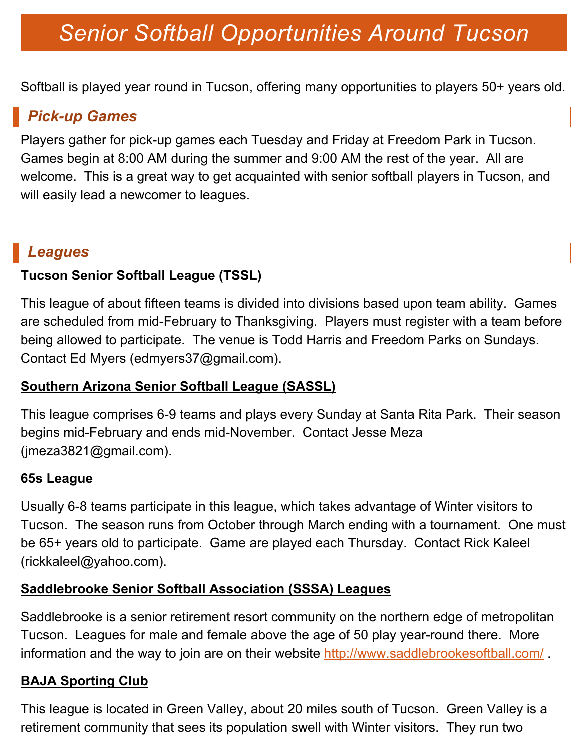# *Senior Softball Opportunities Around Tucson*

Softball is played year round in Tucson, offering many opportunities to players 50+ years old.

#### *Pick-up Games*

Players gather for pick-up games each Tuesday and Friday at Freedom Park in Tucson. Games begin at 8:00 AM during the summer and 9:00 AM the rest of the year. All are welcome. This is a great way to get acquainted with senior softball players in Tucson, and will easily lead a newcomer to leagues.

#### *Leagues*

#### **Tucson Senior Softball League (TSSL)**

This league of about fifteen teams is divided into divisions based upon team ability. Games are scheduled from mid-February to Thanksgiving. Players must register with a team before being allowed to participate. The venue is Todd Harris and Freedom Parks on Sundays. Contact Ed Myers (edmyers37@gmail.com).

#### **Southern Arizona Senior Softball League (SASSL)**

This league comprises 6-9 teams and plays every Sunday at Santa Rita Park. Their season begins mid-February and ends mid-November. Contact Jesse Meza (jmeza3821@gmail.com).

#### **65s League**

Usually 6-8 teams participate in this league, which takes advantage of Winter visitors to Tucson. The season runs from October through March ending with a tournament. One must be 65+ years old to participate. Game are played each Thursday. Contact Rick Kaleel (rickkaleel@yahoo.com).

#### **Saddlebrooke Senior Softball Association (SSSA) Leagues**

Saddlebrooke is a senior retirement resort community on the northern edge of metropolitan Tucson. Leagues for male and female above the age of 50 play year-round there. More information and the way to join are on their website http://www.saddlebrookesoftball.com/.

#### **BAJA Sporting Club**

This league is located in Green Valley, about 20 miles south of Tucson. Green Valley is a retirement community that sees its population swell with Winter visitors. They run two